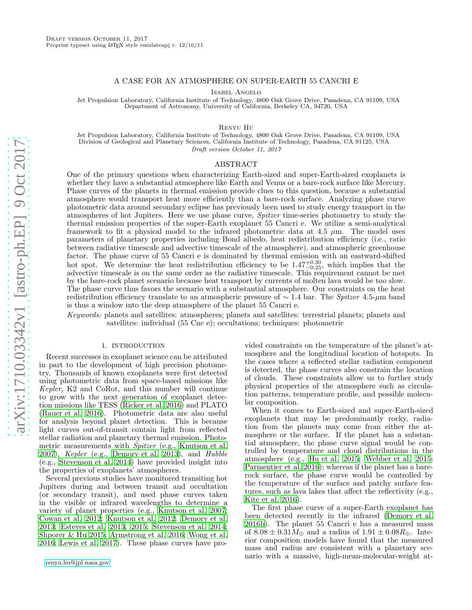### A CASE FOR AN ATMOSPHERE ON SUPER-EARTH 55 CANCRI E

Isabel Angelo

Jet Propulsion Laboratory, California Institute of Technology, 4800 Oak Grove Drive, Pasadena, CA 91109, USA Department of Astronomy, University of California, Berkeley CA, 94720, USA

Renyu Hu

Jet Propulsion Laboratory, California Institute of Technology, 4800 Oak Grove Drive, Pasadena, CA 91109, USA Division of Geological and Planetary Sciences, California Institute of Technology, Pasadena, CA 91125, USA Draft version October 11, 2017

# ABSTRACT

One of the primary questions when characterizing Earth-sized and super-Earth-sized exoplanets is whether they have a substantial atmosphere like Earth and Venus or a bare-rock surface like Mercury. Phase curves of the planets in thermal emission provide clues to this question, because a substantial atmosphere would transport heat more efficiently than a bare-rock surface. Analyzing phase curve photometric data around secondary eclipse has previously been used to study energy transport in the atmospheres of hot Jupiters. Here we use phase curve, Spitzer time-series photometry to study the thermal emission properties of the super-Earth exoplanet 55 Cancri e. We utilize a semi-analytical framework to fit a physical model to the infrared photometric data at 4.5  $\mu$ m. The model uses parameters of planetary properties including Bond albedo, heat redistribution efficiency (i.e., ratio between radiative timescale and advective timescale of the atmosphere), and atmospheric greenhouse factor. The phase curve of 55 Cancri e is dominated by thermal emission with an eastward-shifted hot spot. We determine the heat redistribution efficiency to be  $1.47_{-0.25}^{+0.30}$ , which implies that the advective timescale is on the same order as the radiative timescale. This requirement cannot be met by the bare-rock planet scenario because heat transport by currents of molten lava would be too slow. The phase curve thus favors the scenario with a substantial atmosphere. Our constraints on the heat redistribution efficiency translate to an atmospheric pressure of  $\sim 1.4$  bar. The Spitzer 4.5- $\mu$ m band is thus a window into the deep atmosphere of the planet 55 Cancri e.

Keywords: planets and satellites: atmospheres; planets and satellites: terrestrial planets; planets and satellites: individual (55 Cnc e); occultations; techniques: photometric

### 1. INTRODUCTION

Recent successes in exoplanet science can be attributed in part to the development of high precision photometry. Thousands of known exoplanets were first detected using photometric data from space-based missions like Kepler, K2 and CoRot, and this number will continue to grow with the next generation of exoplanet detection missions like TESS [\(Ricker et al. 2016\)](#page-7-0) and PLATO [\(Rauer et al. 2016](#page-7-1)). Photometric data are also useful for analysis beyond planet detection. This is because light curves out-of-transit contain light from reflected stellar radiation and planetary thermal emission. Photometric measurements with Spitzer (e.g., [Knutson et al.](#page-7-2) [2007\)](#page-7-2), Kepler (e.g., [Demory et al. 2013](#page-7-3)), and Hubble (e.g., [Stevenson et al. 2014\)](#page-7-4) have provided insight into the properties of exoplanets' atmospheres.

Several previous studies have monitored transiting hot Jupiters during and between transit and occultation (or secondary transit), and used phase curves taken in the visible or infrared wavelengths to determine a variety of planet properties (e.g., [Knutson et al. 2007;](#page-7-2) [Cowan et al. 2012;](#page-7-5) [Knutson et al. 2012;](#page-7-6) [Demory et al.](#page-7-3) [2013;](#page-7-3) [Esteves et al. 2013,](#page-7-7) [2015](#page-7-8); [Stevenson et al. 2014;](#page-7-4) [Shporer & Hu 2015;](#page-7-9) [Armstrong et al. 2016](#page-7-10); [Wong et al.](#page-7-11) [2016;](#page-7-11) [Lewis et al. 2017\)](#page-7-12). These phase curves have pro-

vided constraints on the temperature of the planet's atmosphere and the longitudinal location of hotspots. In the cases where a reflected stellar radiation component is detected, the phase curves also constrain the location of clouds. These constraints allow us to further study physical properties of the atmosphere such as circulation patterns, temperature profile, and possible molecular composition.

When it comes to Earth-sized and super-Earth-sized exoplanets that may be predominantly rocky, radiation from the planets may come from either the atmosphere or the surface. If the planet has a substantial atmosphere, the phase curve signal would be controlled by temperature and cloud distributions in the atmosphere (e.g., [Hu et al. 2015;](#page-7-13) [Webber et al. 2015](#page-7-14); [Parmentier et al. 2016\)](#page-7-15); whereas if the planet has a barerock surface, the phase curve would be controlled by the temperature of the surface and patchy surface features, such as lava lakes that affect the reflectivity (e.g., [Kite et al. 2016](#page-7-16)).

The first phase curve of a super-Earth exoplanet has been detected recently in the infrared [\(Demory et al.](#page-7-17) [2016b](#page-7-17)). The planet 55 Cancri e has a measured mass of  $8.08 \pm 0.31 M_{\oplus}$  and a radius of  $1.91 \pm 0.08 R_{\oplus}$ . Interior composition models have found that the measured mass and radius are consistent with a planetary scenario with a massive, high-mean-molecular-weight at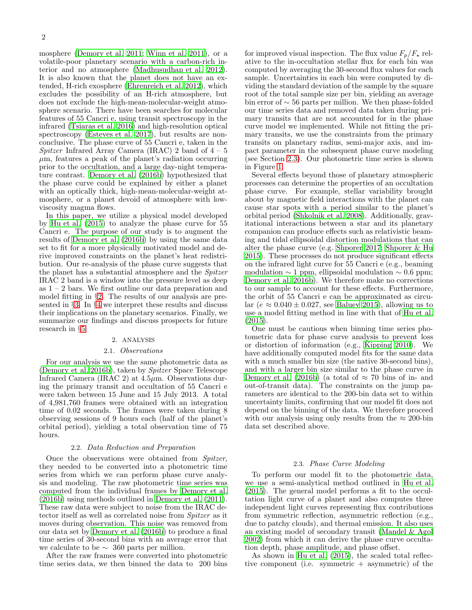mosphere [\(Demory et al. 2011;](#page-7-18) [Winn et al. 2011\)](#page-7-19), or a volatile-poor planetary scenario with a carbon-rich interior and no atmosphere [\(Madhusudhan et al. 2012\)](#page-7-20). It is also known that the planet does not have an extended, H-rich exosphere [\(Ehrenreich et al. 2012\)](#page-7-21), which excludes the possibility of an H-rich atmosphere, but does not exclude the high-mean-molecular-weight atmosphere scenario. There have been searches for molecular features of 55 Cancri e, using transit spectroscopy in the infrared [\(Tsiaras et al. 2016\)](#page-7-22) and high-resolution optical spectroscopy [\(Esteves et al. 2017\)](#page-7-23), but results are nonconclusive. The phase curve of 55 Cancri e, taken in the Spitzer Infrared Array Camera (IRAC) 2 band of  $4-5$  $\mu$ m, features a peak of the planet's radiation occurring prior to the occultation, and a large day-night temperature contrast. [Demory et al. \(2016b](#page-7-17)) hypothesized that the phase curve could be explained by either a planet with an optically thick, high-mean-molecular-weight atmosphere, or a planet devoid of atmosphere with lowviscosity magma flows.

In this paper, we utilize a physical model developed by [Hu et al. \(2015](#page-7-13)) to analyze the phase curve for 55 Cancri e. The purpose of our study is to augment the results of [Demory et al. \(2016b\)](#page-7-17) by using the same data set to fit for a more physically motivated model and derive improved constraints on the planet's heat redistribution. Our re-analysis of the phase curve suggests that the planet has a substantial atmosphere and the Spitzer IRAC 2 band is a window into the pressure level as deep as  $1 - 2$  bars. We first outline our data preparation and model fitting in §[2.](#page-1-0) The results of our analysis are presented in §[3.](#page-3-0) In §[4](#page-4-0) we interpret these results and discuss their implications on the planetary scenarios. Finally, we summarize our findings and discuss prospects for future research in §[5.](#page-6-0)

#### 2. ANALYSIS

### 2.1. Observations

<span id="page-1-0"></span>For our analysis we use the same photometric data as [\(Demory et al. 2016b\)](#page-7-17), taken by Spitzer Space Telescope Infrared Camera (IRAC 2) at 4.5µm. Observations during the primary transit and occultation of 55 Cancri e were taken between 15 June and 15 July 2013. A total of 4,981,760 frames were obtained with an integration time of 0.02 seconds. The frames were taken during 8 observing sessions of 9 hours each (half of the planet's orbital period), yielding a total observation time of 75 hours.

#### 2.2. Data Reduction and Preparation

Once the observations were obtained from Spitzer, they needed to be converted into a photometric time series from which we can perform phase curve analysis and modeling. The raw photometric time series was computed from the individual frames by [Demory et al.](#page-7-17) [\(2016b](#page-7-17)) using methods outlined in [Demory et al. \(2011\)](#page-7-18). These raw data were subject to noise from the IRAC detector itself as well as correlated noise from Spitzer as it moves during observation. This noise was removed from our data set by [Demory et al. \(2016b\)](#page-7-17) to produce a final time series of 30-second bins with an average error that we calculate to be  $\sim$  360 parts per million.

After the raw frames were converted into photometric time series data, we then binned the data to 200 bins for improved visual inspection. The flux value  $F_p/F_{\star}$  relative to the in-occultation stellar flux for each bin was computed by averaging the 30-second flux values for each sample. Uncertainties in each bin were computed by dividing the standard deviation of the sample by the square root of the total sample size per bin, yielding an average bin error of ∼ 56 parts per million. We then phase-folded our time series data and removed data taken during primary transits that are not accounted for in the phase curve model we implemented. While not fitting the primary transits, we use the constraints from the primary transits on planetary radius, semi-major axis, and impact parameter in the subsequent phase curve modeling (see Section [2.3\)](#page-1-1). Our photometric time series is shown in Figure [1.](#page-2-0)

Several effects beyond those of planetary atmospheric processes can determine the properties of an occultation phase curve. For example, stellar variability brought about by magnetic field interactions with the planet can cause star spots with a period similar to the planet's orbital period [\(Shkolnik et al. 2008\)](#page-7-24). Additionally, gravitational interactions between a star and its planetary companion can produce effects such as relativistic beaming and tidal ellipsoidal distortion modulations that can alter the phase curve (e.g. [Shporer 2017](#page-7-25); [Shporer & Hu](#page-7-9) [2015\)](#page-7-9). These processes do not produce significant effects on the infrared light curve for 55 Cancri e (e.g., beaming modulation  $\sim$  1 ppm, ellipsoidal modulation  $\sim$  0.6 ppm; [Demory et al. 2016b](#page-7-17)). We therefore make no corrections to our sample to account for these effects. Furthermore, the orbit of 55 Cancri e can be approximated as circular ( $e \approx 0.040 \pm 0.027$ , see [Baluev 2015\)](#page-7-26), allowing us to use a model fitting method in line with that of [Hu et al.](#page-7-13) [\(2015\)](#page-7-13).

One must be cautious when binning time series photometric data for phase curve analysis to prevent loss or distortion of information (e.g., [Kipping 2010\)](#page-7-27). We have additionally computed model fits for the same data with a much smaller bin size (the native 30-second bins), and with a larger bin size similar to the phase curve in [Demory et al. \(2016b](#page-7-17)) (a total of  $\approx$  70 bins of in- and out-of-transit data). The constraints on the jump parameters are identical to the 200-bin data set to within uncertainty limits, confirming that our model fit does not depend on the binning of the data. We therefore proceed with our analysis using only results from the  $\approx 200$ -bin data set described above.

### 2.3. Phase Curve Modeling

<span id="page-1-1"></span>To perform our model fit to the photometric data, we use a semi-analytical method outlined in [Hu et al.](#page-7-13) [\(2015\)](#page-7-13). The general model performs a fit to the occultation light curve of a planet and also computes three independent light curves representing flux contributions from symmetric reflection, asymmetric reflection (e.g., due to patchy clouds), and thermal emission. It also uses an existing model of secondary transit [\(Mandel & Agol](#page-7-28) [2002\)](#page-7-28) from which it can derive the phase curve occultation depth, phase amplitude, and phase offset.

As shown in [Hu et al. \(2015](#page-7-13)), the scaled total reflective component (i.e. symmetric  $+$  asymmetric) of the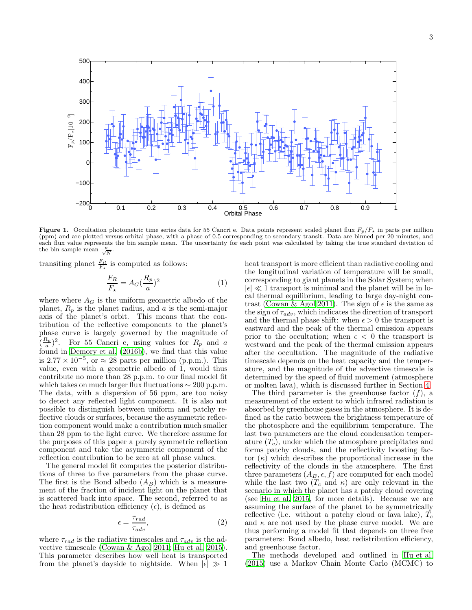<span id="page-2-0"></span>Figure 1. Occultation photometric time series data for 55 Cancri e. Data points represent scaled planet flux  $F_p/F_{\star}$  in parts per million (ppm) and are plotted versus orbital phase, with a phase of 0.5 corresponding to secondary transit. Data are binned per 20 minutes, and each flux value represents the bin sample mean. The uncertainty for each point was calculated by taking the true standard deviation of the bin sample mean  $\frac{\sigma}{\sqrt{N}}$ .

transiting planet  $\frac{F_R}{F_{\star}}$  is computed as follows:

$$
\frac{F_R}{F_{\star}} = A_G(\frac{R_p}{a})^2
$$
 (1)

where where  $A_G$  is the uniform geometric albedo of the planet,  $R_p$  is the planet radius, and  $a$  is the semi-major axis of the planet's orbit. This means that the contribution of the reflective components to the planet's phase curve is largely governed by the magnitude of  $\left(\frac{R_p}{a}\right)$  $\frac{a_p}{a}$ )<sup>2</sup>. For 55 Cancri e, using values for  $R_p$  and a found in [Demory et al. \(2016b\)](#page-7-17), we find that this value is  $2.77 \times 10^{-5}$ , or  $\approx 28$  parts per million (p.p.m.). This value, even with a geometric albedo of 1, would thus contribute no more than 28 p.p.m. to our final model fit which takes on much larger flux fluctuations  $\sim 200$  p.p.m. The data, with a dispersion of 56 ppm, are too noisy to detect any reflected light component. It is also not possible to distinguish between uniform and patchy reflective clouds or surfaces, because the asymmetric reflection component would make a contribution much smaller than 28 ppm to the light curve. We therefore assume for the purposes of this paper a purely symmetric reflection component and take the asymmetric component of the reflection contribution to be zero at all phase values.

The general model fit computes the posterior distributions of three to five parameters from the phase curve. The first is the Bond albedo  $(A_B)$  which is a measurement of the fraction of incident light on the planet that is scattered back into space. The second, referred to as the heat redistribution efficiency  $(\epsilon)$ , is defined as

$$
\epsilon = \frac{\tau_{rad}}{\tau_{adv}},\tag{2}
$$

where  $\tau_{rad}$  is the radiative timescales and  $\tau_{adv}$  is the advective timescale [\(Cowan & Agol 2011;](#page-7-29) [Hu et al. 2015\)](#page-7-13). This parameter describes how well heat is transported from the planet's dayside to nightside. When  $|\epsilon| \gg 1$ 

heat transport is more efficient than radiative cooling and the longitudinal variation of temperature will be small, corresponding to giant planets in the Solar System; when  $|\epsilon| \ll 1$  transport is minimal and the planet will be in local thermal equilibrium, leading to large day-night con-trast [\(Cowan & Agol 2011\)](#page-7-29). The sign of  $\epsilon$  is the same as the sign of  $\tau_{adv}$ , which indicates the direction of transport and the thermal phase shift: when  $\epsilon > 0$  the transport is eastward and the peak of the thermal emission appears prior to the occultation; when  $\epsilon < 0$  the transport is westward and the peak of the thermal emission appears after the occultation. The magnitude of the radiative timescale depends on the heat capacity and the temperature, and the magnitude of the advective timescale is determined by the speed of fluid movement (atmosphere or molten lava), which is discussed further in Section [4.](#page-4-0)

The third parameter is the greenhouse factor  $(f)$ , a measurement of the extent to which infrared radiation is absorbed by greenhouse gases in the atmosphere. It is defined as the ratio between the brightness temperature of the photosphere and the equilibrium temperature. The last two parameters are the cloud condensation temperature  $(T_c)$ , under which the atmosphere precipitates and forms patchy clouds, and the reflectivity boosting factor  $(\kappa)$  which describes the proportional increase in the reflectivity of the clouds in the atmosphere. The first three parameters  $(A_B, \epsilon, f)$  are computed for each model while the last two  $(T_c \text{ and } \kappa)$  are only relevant in the scenario in which the planet has a patchy cloud covering (see [Hu et al. 2015,](#page-7-13) for more details). Because we are assuming the surface of the planet to be symmetrically reflective (i.e. without a patchy cloud or lava lake),  $\tilde{T_c}$ and  $\kappa$  are not used by the phase curve model. We are thus performing a model fit that depends on three free parameters: Bond albedo, heat redistribution efficiency, and greenhouse factor.

The methods developed and outlined in [Hu et al.](#page-7-13) [\(2015\)](#page-7-13) use a Markov Chain Monte Carlo (MCMC) to

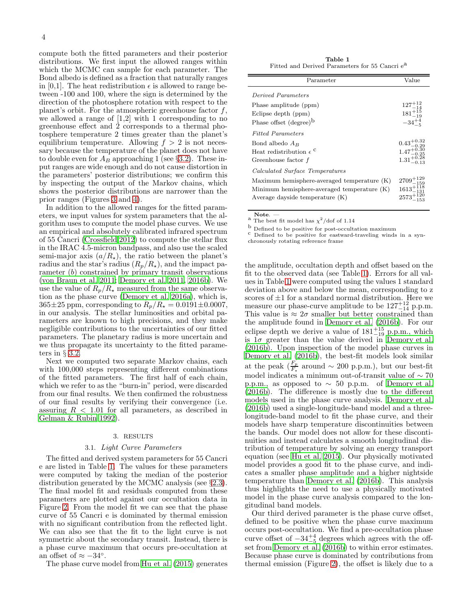compute both the fitted parameters and their posterior distributions. We first input the allowed ranges within which the MCMC can sample for each parameter. The Bond albedo is defined as a fraction that naturally ranges in [0,1]. The heat redistribution  $\epsilon$  is allowed to range between -100 and 100, where the sign is determined by the direction of the photosphere rotation with respect to the planet's orbit. For the atmospheric greenhouse factor  $f$ , we allowed a range of [1,2] with 1 corresponding to no greenhouse effect and 2 corresponds to a thermal photosphere temperature 2 times greater than the planet's equilibrium temperature. Allowing  $f > 2$  is not necessary because the temperature of the planet does not have to double even for  $A_B$  approaching 1 (see §[3.2\)](#page-4-1). These input ranges are wide enough and do not cause distortion in the parameters' posterior distributions; we confirm this by inspecting the output of the Markov chains, which shows the posterior distributions are narrower than the prior ranges (Figures [3](#page-6-1) and [4\)](#page-6-2).

In addition to the allowed ranges for the fitted parameters, we input values for system parameters that the algorithm uses to compute the model phase curves. We use an empirical and absolutely calibrated infrared spectrum of 55 Cancri [\(Crossfield 2012\)](#page-7-30) to compute the stellar flux in the IRAC 4.5-micron bandpass, and also use the scaled semi-major axis  $(a/R<sub>\star</sub>)$ , the ratio between the planet's radius and the star's radius  $(R_p/R_\star)$ , and the impact parameter (b) constrained by primary transit observations [\(von Braun et al. 2011](#page-7-31); [Demory et al. 2011,](#page-7-18) [2016b](#page-7-17)). We use the value of  $R_p/R_{\star}$  measured from the same observation as the phase curve [\(Demory et al. 2016a](#page-7-32)), which is,  $365\pm25$  ppm, corresponding to  $R_p/R_\star = 0.0191\pm0.0007$ , in our analysis. The stellar luminosities and orbital parameters are known to high precisions, and they make negligible contributions to the uncertainties of our fitted parameters. The planetary radius is more uncertain and we thus propagate its uncertainty to the fitted parameters in  $\S$  [3.2.](#page-4-1)

Next we computed two separate Markov chains, each with 100,000 steps representing different combinations of the fitted parameters. The first half of each chain, which we refer to as the "burn-in" period, were discarded from our final results. We then confirmed the robustness of our final results by verifying their convergence (i.e. assuring  $R < 1.01$  for all parameters, as described in [Gelman & Rubin 1992\)](#page-7-33).

#### 3. RESULTS

### 3.1. Light Curve Parameters

<span id="page-3-2"></span><span id="page-3-0"></span>The fitted and derived system parameters for 55 Cancri e are listed in Table [1.](#page-3-1) The values for these parameters were computed by taking the median of the posterior distribution generated by the MCMC analysis (see §[2.3\)](#page-1-1). The final model fit and residuals computed from these parameters are plotted against our occultation data in Figure [2.](#page-5-0) From the model fit we can see that the phase curve of 55 Cancri e is dominated by thermal emission with no significant contribution from the reflected light. We can also see that the fit to the light curve is not symmetric about the secondary transit. Instead, there is a phase curve maximum that occurs pre-occultation at an offset of  $\approx -34^\circ$ .

The phase curve model from [Hu et al. \(2015](#page-7-13)) generates

<span id="page-3-1"></span>Table 1 Fitted and Derived Parameters for 55 Cancri e<sup>a</sup>

| Parameter                                                                                                                                                            | Value                                                                      |
|----------------------------------------------------------------------------------------------------------------------------------------------------------------------|----------------------------------------------------------------------------|
| Derived Parameters<br>Phase amplitude (ppm)<br>Eclipse depth (ppm)<br>Phase offset (degree) <sup>b</sup><br><b>Fitted Parameters</b>                                 | $127^{+12}_{-14}$<br>$181^{+15}_{-19}$<br>$-34^{+4}_{-5}$                  |
| Bond albedo $A_B$<br>Heat redistribution $\epsilon$ <sup>c</sup><br>Greenhouse factor f                                                                              | $0.43^{+0.32}_{-0.29}$<br>$1.47^{+0.30}_{-0.25}$<br>$1.31_{-0.12}^{+0.28}$ |
| Calculated Surface Temperatures<br>Maximum hemisphere-averaged temperature (K)<br>Minimum hemisphere-averaged temperature $(K)$<br>Average dayside temperature $(K)$ | $2709^{+129}_{-159}$<br>$1613^{+118}_{-131}$<br>$2573^{+120}$              |

**Note.** — a The best fit model has  $\chi^2$ /dof of 1.14

<sup>b</sup> Defined to be positive for post-occultation maximum <sup>c</sup> Defined to be positive for eastward-traveling winds in a syn-

chronously rotating reference frame

the amplitude, occultation depth and offset based on the fit to the observed data (see Table [1\)](#page-3-1). Errors for all values in Table [1](#page-3-1) were computed using the values 1 standard deviation above and below the mean, corresponding to z scores of  $\pm 1$  for a standard normal distribution. Here we measure our phase-curve amplitude to be  $127^{+12}_{-14}$  p.p.m. This value is  $\approx 2\sigma$  smaller but better constrained than the amplitude found in [Demory et al. \(2016b\)](#page-7-17). For our eclipse depth we derive a value of  $181^{+15}_{-19}$  p.p.m., which is  $1\sigma$  greater than the value derived in [Demory et al.](#page-7-17) [\(2016b\)](#page-7-17). Upon inspection of the model phase curves in [Demory et al. \(2016b](#page-7-17)), the best-fit models look similar at the peak  $(\frac{F_p}{F_{\star}})$  around ~ 200 p.p.m.), but our best-fit model indicates a minimum out-of-transit value of  $\sim 70$ p.p.m., as opposed to  $\sim 50$  p.p.m. of [Demory et al.](#page-7-17) [\(2016b\)](#page-7-17). The difference is mostly due to the different models used in the phase curve analysis. [Demory et al.](#page-7-17) [\(2016b\)](#page-7-17) used a single-longitude-band model and a threelongitude-band model to fit the phase curve, and their models have sharp temperature discontinuities between the bands. Our model does not allow for these discontinuities and instead calculates a smooth longitudinal distribution of temperature by solving an energy transport equation (see [Hu et al. 2015](#page-7-13)). Our physically motivated model provides a good fit to the phase curve, and indicates a smaller phase amplitude and a higher nightside temperature than [Demory et al. \(2016b\)](#page-7-17). This analysis thus highlights the need to use a physically motivated model in the phase curve analysis compared to the longitudinal band models.

Our third derived parameter is the phase curve offset, defined to be positive when the phase curve maximum occurs post-occultation. We find a pre-occultation phase curve offset of  $-34^{+4}_{-5}$  degrees which agrees with the offset from [Demory et al. \(2016b](#page-7-17)) to within error estimates. Because phase curve is dominated by contributions from thermal emission (Figure [2\)](#page-5-0), the offset is likely due to a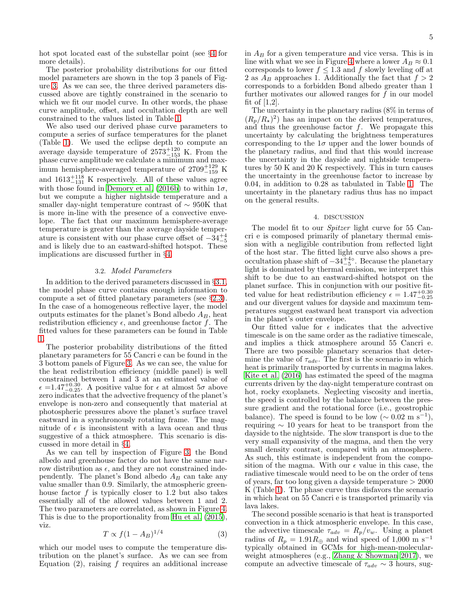hot spot located east of the substellar point (see §[4](#page-4-0) for more details).

The posterior probability distributions for our fitted model parameters are shown in the top 3 panels of Figure [3.](#page-6-1) As we can see, the three derived parameters discussed above are tightly constrained in the scenario to which we fit our model curve. In other words, the phase curve amplitude, offset, and occultation depth are well constrained to the values listed in Table [1.](#page-3-1)

We also used our derived phase curve parameters to compute a series of surface temperatures for the planet (Table [1\)](#page-3-1). We used the eclipse depth to compute an average dayside temperature of  $2573_{-153}^{+120}$  K. From the phase curve amplitude we calculate a minimum and maximum hemisphere-averaged temperature of  $2709_{-159}^{+129}$  K and  $1613_{-131}^{+118}$  K respectively. All of these values agree with those found in [Demory et al. \(2016b](#page-7-17)) to within  $1\sigma$ , but we compute a higher nightside temperature and a smaller day-night temperature contrast of ∼ 950K that is more in-line with the presence of a convective envelope. The fact that our maximum hemisphere-average temperature is greater than the average dayside temperature is consistent with our phase curve offset of  $-34^{+4}_{-5}$ and is likely due to an eastward-shifted hotspot. These implications are discussed further in §[4.](#page-4-0)

# 3.2. Model Parameters

<span id="page-4-1"></span>In addition to the derived parameters discussed in §[3.1,](#page-3-2) the model phase curve contains enough information to compute a set of fitted planetary parameters (see §[2.3\)](#page-1-1). In the case of a homogeneous reflective layer, the model outputs estimates for the planet's Bond albedo  $A_B$ , heat redistribution efficiency  $\epsilon$ , and greenhouse factor f. The fitted values for these parameters can be found in Table [1.](#page-3-1)

The posterior probability distributions of the fitted planetary parameters for 55 Cancri e can be found in the 3 bottom panels of Figure [3.](#page-6-1) As we can see, the value for the heat redistribution efficiency (middle panel) is well constrained between 1 and 3 at an estimated value of  $\epsilon = 1.47^{+0.30}_{-0.25}$ . A positive value for  $\epsilon$  at almost  $5\sigma$  above zero indicates that the advective frequency of the planet's envelope is non-zero and consequently that material at photospheric pressures above the planet's surface travel eastward in a synchronously rotating frame. The magnitude of  $\epsilon$  is inconsistent with a lava ocean and thus suggestive of a thick atmosphere. This scenario is discussed in more detail in §[4.](#page-4-0)

As we can tell by inspection of Figure [3,](#page-6-1) the Bond albedo and greenhouse factor do not have the same narrow distribution as  $\epsilon$ , and they are not constrained independently. The planet's Bond albedo  $A_B$  can take any value smaller than 0.9. Similarly, the atmospheric greenhouse factor  $f$  is typically closer to 1.2 but also takes essentially all of the allowed values between 1 and 2. The two parameters are correlated, as shown in Figure [4.](#page-6-2) This is due to the proportionality from [Hu et al. \(2015\)](#page-7-13), viz.

$$
T \propto f(1 - A_B)^{1/4} \tag{3}
$$

which our model uses to compute the temperature distribution on the planet's surface. As we can see from Equation  $(2)$ , raising f requires an additional increase in  $A_B$  for a given temperature and vice versa. This is in line with what we see in Figure [4](#page-6-2) where a lower  $A_B \approx 0.1$ corresponds to lower  $f \leq 1.3$  and f slowly leveling off at 2 as  $A_B$  approaches 1. Additionally the fact that  $f > 2$ corresponds to a forbidden Bond albedo greater than 1 further motivates our allowed ranges for  $f$  in our model fit of  $[1,2]$ .

The uncertainty in the planetary radius (8% in terms of  $(R_p/R_\star)^2$  has an impact on the derived temperatures, and thus the greenhouse factor  $f$ . We propagate this uncertainty by calculating the brightness temperatures corresponding to the  $1\sigma$  upper and the lower bounds of the planetary radius, and find that this would increase the uncertainty in the dayside and nightside temperatures by 50 K and 20 K respectively. This in turn causes the uncertainty in the greenhouse factor to increase by 0.04, in addition to 0.28 as tabulated in Table [1.](#page-3-1) The uncertainty in the planetary radius thus has no impact on the general results.

#### 4. DISCUSSION

<span id="page-4-0"></span>The model fit to our Spitzer light curve for 55 Cancri e is composed primarily of planetary thermal emission with a negligible contribution from reflected light of the host star. The fitted light curve also shows a preoccultation phase shift of  $-34^{+4}_{-5}$ . Because the planetary light is dominated by thermal emission, we interpret this shift to be due to an eastward-shifted hotspot on the planet surface. This in conjunction with our positive fitted value for heat redistribution efficiency  $\epsilon = 1.47^{+0.30}_{-0.25}$ and our divergent values for dayside and maximum temperatures suggest eastward heat transport via advection in the planet's outer envelope.

Our fitted value for  $\epsilon$  indicates that the advective timescale is on the same order as the radiative timescale, and implies a thick atmosphere around 55 Cancri e. There are two possible planetary scenarios that determine the value of  $\tau_{adv}$ . The first is the scenario in which heat is primarily transported by currents in magma lakes. [Kite et al. \(2016\)](#page-7-16) has estimated the speed of the magma currents driven by the day-night temperature contrast on hot, rocky exoplanets. Neglecting viscosity and inertia, the speed is controlled by the balance between the pressure gradient and the rotational force (i.e., geostrophic balance). The speed is found to be low  $(\sim 0.02 \text{ m s}^{-1}),$ requiring  $\sim$  10 years for heat to be transport from the dayside to the nightside. The slow transport is due to the very small expansivity of the magma, and then the very small density contrast, compared with an atmosphere. As such, this estimate is independent from the composition of the magma. With our  $\epsilon$  value in this case, the radiative timescale would need to be on the order of tens of years, far too long given a dayside temperature > 2000 K (Table [1\)](#page-3-1). The phase curve thus disfavors the scenario in which heat on 55 Cancri e is transported primarily via lava lakes.

The second possible scenario is that heat is transported convection in a thick atmospheric envelope. In this case, the advective timescale  $\tau_{adv} = R_p/v_w$ . Using a planet radius of  $R_p = 1.91R_\oplus$  and wind speed of 1,000 m s<sup>-1</sup> typically obtained in GCMs for high-mean-molecularweight atmospheres (e.g., [Zhang & Showman 2017\)](#page-7-34), we compute an advective timescale of  $\tau_{adv} \sim 3$  hours, sug-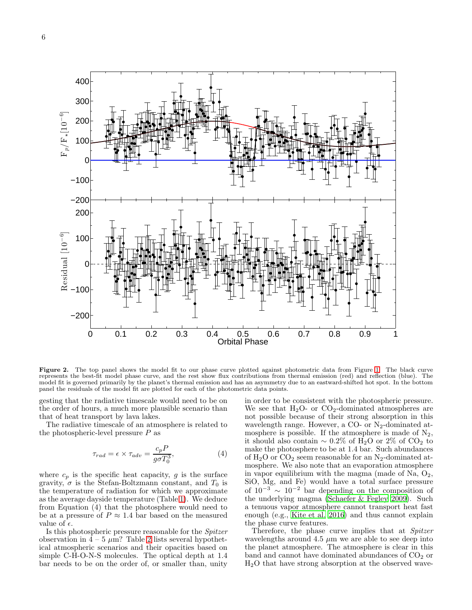

<span id="page-5-0"></span>Figure 2. The top panel shows the model fit to our phase curve plotted against photometric data from Figure [1.](#page-2-0) The black curve represents the best-fit model phase curve, and the rest show flux contributions from thermal emission (red) and reflection (blue). The model fit is governed primarily by the planet's thermal emission and has an asymmetry due to an eastward-shifted hot spot. In the bottom panel the residuals of the model fit are plotted for each of the photometric data points.

gesting that the radiative timescale would need to be on the order of hours, a much more plausible scenario than that of heat transport by lava lakes.

The radiative timescale of an atmosphere is related to the photospheric-level pressure  $P$  as

$$
\tau_{rad} = \epsilon \times \tau_{adv} = \frac{c_p P}{g \sigma T_0^3},\tag{4}
$$

where  $c_p$  is the specific heat capacity, g is the surface gravity,  $\sigma$  is the Stefan-Boltzmann constant, and  $T_0$  is the temperature of radiation for which we approximate as the average dayside temperature (Table [1\)](#page-3-1). We deduce from Equation (4) that the photosphere would need to be at a pressure of  $P \approx 1.4$  bar based on the measured value of  $\epsilon$ .

Is this photospheric pressure reasonable for the Spitzer observation in  $\overline{4}$  – 5  $\mu$ m? Table [2](#page-6-3) lists several hypothetical atmospheric scenarios and their opacities based on simple C-H-O-N-S molecules. The optical depth at 1.4 bar needs to be on the order of, or smaller than, unity

in order to be consistent with the photospheric pressure. We see that  $H_2O$ - or  $CO_2$ -dominated atmospheres are not possible because of their strong absorption in this wavelength range. However, a CO- or N2-dominated atmosphere is possible. If the atmosphere is made of  $N_2$ , it should also contain  $\sim 0.2\%$  of H<sub>2</sub>O or 2<sup>%</sup> of CO<sub>2</sub> to make the photosphere to be at 1.4 bar. Such abundances of  $H_2O$  or  $CO_2$  seem reasonable for an N<sub>2</sub>-dominated atmosphere. We also note that an evaporation atmosphere in vapor equilibrium with the magma (made of Na,  $O_2$ , SiO, Mg, and Fe) would have a total surface pressure of  $10^{-3} \sim 10^{-2}$  bar depending on the composition of the underlying magma [\(Schaefer & Fegley 2009\)](#page-7-35). Such a tenuous vapor atmosphere cannot transport heat fast enough (e.g., [Kite et al. 2016\)](#page-7-16) and thus cannot explain the phase curve features.

Therefore, the phase curve implies that at Spitzer wavelengths around 4.5  $\mu$ m we are able to see deep into the planet atmosphere. The atmosphere is clear in this band and cannot have dominated abundances of  $CO<sub>2</sub>$  or H2O that have strong absorption at the observed wave-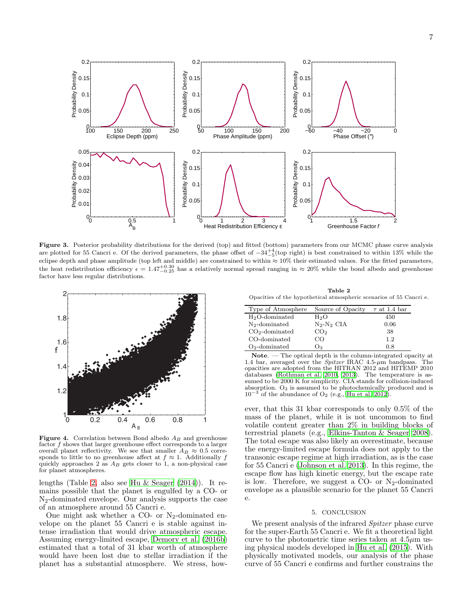

<span id="page-6-1"></span>Figure 3. Posterior probability distributions for the derived (top) and fitted (bottom) parameters from our MCMC phase curve analysis are plotted for 55 Cancri e. Of the derived parameters, the phase offset of  $-34^{+4}_{-5}$  (top right) is best constrained to within 13% while the policy of the property of the property of the property of the property of th eclipse depth and phase amplitude (top left and middle) are constrained to within ≈ 10% their estimated values. For the fitted parameters, the heat redistribution efficiency  $\epsilon = 1.47_{-0.25}^{+0.30}$  has a relatively normal spread ranging in  $\approx 20\%$  while the bond albedo and greenhouse factor have less regular distributions.



<span id="page-6-2"></span>Figure 4. Correlation between Bond albedo  $A_B$  and greenhouse factor f shows that larger greenhouse effect corresponds to a larger overall planet reflectivity. We see that smaller  $A_B \approx 0.5$  correoverall planet reflectivity. We see that smaller  $A_B \approx 0.5$  corresponds to little to no greenhouse affect at  $f \approx 1$ . Additionally f quickly approaches 2 as  $A_B$  gets closer to 1, a non-physical case for planet atmospheres.

lengths (Table [2,](#page-6-3) also see [Hu & Seager \(2014](#page-7-36))). It remains possible that the planet is engulfed by a CO- or N2-dominated envelope. Our analysis supports the case of an atmosphere around 55 Cancri e.

One might ask whether a CO- or  $N_2$ -dominated envelope on the planet 55 Cancri e is stable against intense irradiation that would drive atmospheric escape. Assuming energy-limited escape, [Demory et al. \(2016b](#page-7-17)) estimated that a total of 31 kbar worth of atmosphere would have been lost due to stellar irradiation if the planet has a substantial atmosphere. We stress, how-

<span id="page-6-3"></span>Table 2 Opacities of the hypothetical atmospheric scenarios of 55 Cancri e.

| Type of Atmosphere | Source of Opacity | $\tau$ at 1.4 bar |
|--------------------|-------------------|-------------------|
| $H2O$ -dominated   | H2O               | 450               |
| $N_2$ -dominated   | $N_2-N_2$ CIA     | 0.06              |
| $CO2$ -dominated   | CO <sub>2</sub>   | 38                |
| CO-dominated       | ∪ C               | 1.2               |
| $O2$ -dominated    | Oз                | 0.8               |

Note. — The optical depth is the column-integrated opacity at 1.4 bar, averaged over the *Spitzer* IRAC  $4.5-\mu m$  bandpass. The opacities are adopted from the HITRAN 2012 and HITEMP 2010 databases [\(Rothman et al. 2010,](#page-7-37) [2013](#page-7-38)). The temperature is assumed to be 2000 K for simplicity. CIA stands for collision-induced absorption.  $O_3$  is assumed to be photochemically produced and is  $10^{-3}$  of the abundance of O<sub>2</sub> (e.g., [Hu et al. 2012](#page-7-39)).

ever, that this 31 kbar corresponds to only 0.5% of the mass of the planet, while it is not uncommon to find volatile content greater than 2% in building blocks of terrestrial planets (e.g., [Elkins-Tanton & Seager 2008](#page-7-40)). The total escape was also likely an overestimate, because the energy-limited escape formula does not apply to the transonic escape regime at high irradiation, as is the case for 55 Cancri e [\(Johnson et al. 2013\)](#page-7-41). In this regime, the escape flow has high kinetic energy, but the escape rate is low. Therefore, we suggest a CO- or  $N_2$ -dominated envelope as a plausible scenario for the planet 55 Cancri e.

### 5. CONCLUSION

<span id="page-6-0"></span>We present analysis of the infrared *Spitzer* phase curve for the super-Earth 55 Cancri e. We fit a theoretical light curve to the photometric time series taken at  $4.5\mu$ m using physical models developed in [Hu et al. \(2015\)](#page-7-13). With physically motivated models, our analysis of the phase curve of 55 Cancri e confirms and further constrains the